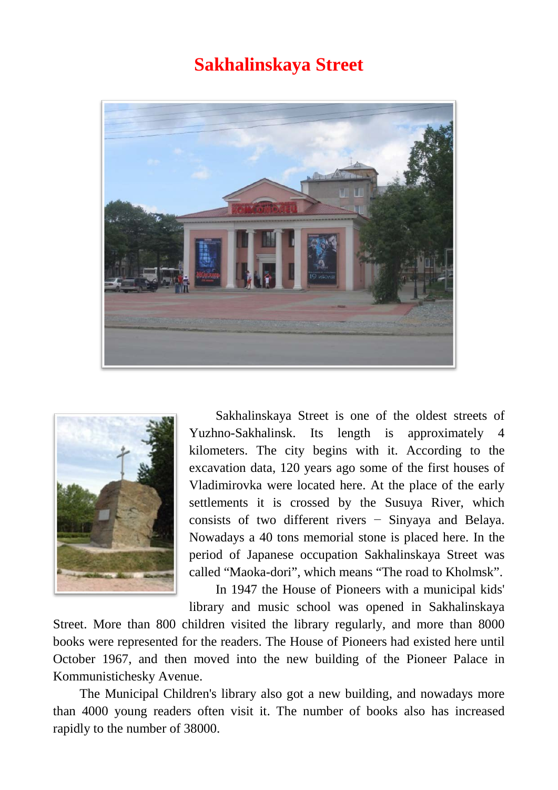## **Sakhalinskaya Street**





Sakhalinskaya Street is one of the oldest streets of Yuzhno-Sakhalinsk. Its length is approximately 4 kilometers. The city begins with it. According to the excavation data, 120 years ago some of the first houses of Vladimirovka were located here. At the place of the early settlements it is crossed by the Susuya River, which consists of two different rivers − Sinyaya and Belaya. Nowadays a 40 tons memorial stone is placed here. In the period of Japanese occupation Sakhalinskaya Street was called "Maoka-dori", which means "The road to Kholmsk".

In 1947 the House of Pioneers with a municipal kids'

library and music school was opened in Sakhalinskaya Street. More than 800 children visited the library regularly, and more than 8000 books were represented for the readers. The House of Pioneers had existed here until October 1967, and then moved into the new building of the Pioneer Palace in Kommunistichesky Avenue.

The Municipal Children's library also got a new building, and nowadays more than 4000 young readers often visit it. The number of books also has increased rapidly to the number of 38000.